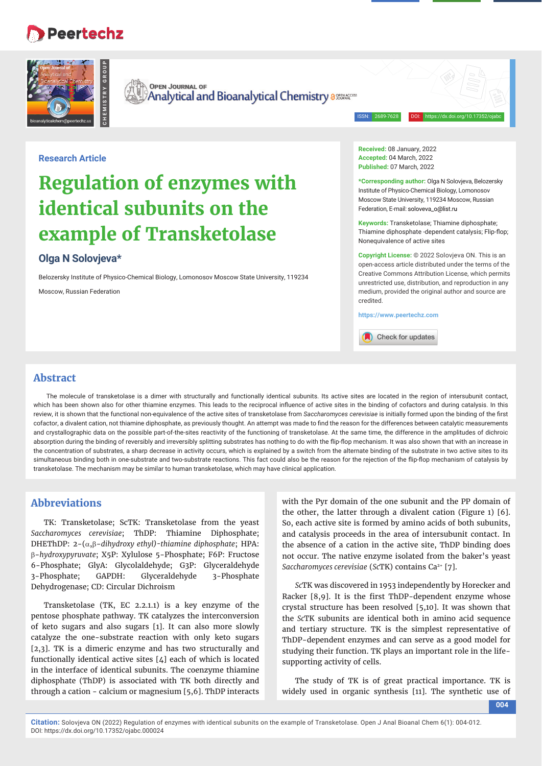# **Peertechz**



**Research Article**

**OPEN JOURNAL OF Analytical and Bioanalytical Chemistry assesseded** 

ISSN: 2689-7628 DOI: https://dx.doi.org/10.17352/ojabc

# **Regulation of enzymes with identical subunits on the example of Transketolase**

# **Olga N Solovjeva\***

Belozersky Institute of Physico-Chemical Biology, Lomonosov Moscow State University, 119234

Moscow, Russian Federation

**Received:** 08 January, 2022 **Accepted:** 04 March, 2022 **Published:** 07 March, 2022

**\*Corresponding author:** Olga N Solovjeva, Belozersky Institute of Physico-Chemical Biology, Lomonosov Moscow State University, 119234 Moscow, Russian Federation, E-mail: soloveva\_o@list.ru

**Keywords:** Transketolase; Thiamine diphosphate; Thiamine diphosphate -dependent catalysis; Flip-flop; Nonequivalence of active sites

**Copyright License:** © 2022 Solovjeva ON. This is an open-access article distributed under the terms of the Creative Commons Attribution License, which permits unrestricted use, distribution, and reproduction in any medium, provided the original author and source are credited.

**https://www.peertechz.com**

Check for updates

# **Abstract**

The molecule of transketolase is a dimer with structurally and functionally identical subunits. Its active sites are located in the region of intersubunit contact, which has been shown also for other thiamine enzymes. This leads to the reciprocal influence of active sites in the binding of cofactors and during catalysis. In this review, it is shown that the functional non-equivalence of the active sites of transketolase from *Saccharomyces cerevisiae* is initially formed upon the binding of the first cofactor, a divalent cation, not thiamine diphosphate, as previously thought. An attempt was made to find the reason for the differences between catalytic measurements and crystallographic data on the possible part-of-the-sites reactivity of the functioning of transketolase. At the same time, the difference in the amplitudes of dichroic absorption during the binding of reversibly and irreversibly splitting substrates has nothing to do with the flip-flop mechanism. It was also shown that with an increase in the concentration of substrates, a sharp decrease in activity occurs, which is explained by a switch from the alternate binding of the substrate in two active sites to its simultaneous binding both in one-substrate and two-substrate reactions. This fact could also be the reason for the rejection of the flip-flop mechanism of catalysis by transketolase. The mechanism may be similar to human transketolase, which may have clinical application.

# **Abbreviations**

TK: Transketolase; ScTK: Transketolase from the yeast *Saccharomyces cerevisiae*; ThDP: Thiamine Diphosphate; DHEThDP:  $2-(\alpha,\beta-dihydroxy ethyl)-thiamine diphosphate; HPA:$ -*hydroxypyruvate*; X5P: Xylulose 5-Phosphate; F6P: Fructose 6-Phosphate; GlyA: Glycolaldehyde; G3P: Glyceraldehyde 3-Phosphate; GAPDH: Glyceraldehyde 3-Phosphate Dehydrogenase; CD: Circular Dichroism

**Example 19.1**<br> **Example 6.1**<br> **Example 3.1**<br> **OI: Example 3.1**<br> **OI: EXAMPPLE 6.1**<br> **EXAMPPLE 6.1**<br> **EXAMPPLE 6.1**<br> **EXAMPPLE 6.1**<br> **EXAMPPLE 6.1**<br> **EXAMPPLE 6.1**<br> **EXAMPPLE 6.1**<br> **EXAMPPLE 6.1**<br> **EXAMPPLE 6.1**<br> **EXAM** Transketolase (TK, EC 2.2.1.1) is a key enzyme of the pentose phosphate pathway. TK catalyzes the interconversion of keto sugars and also sugars [1]. It can also more slowly catalyze the one-substrate reaction with only keto sugars [2,3]. TK is a dimeric enzyme and has two structurally and functionally identical active sites [4] each of which is located in the interface of identical subunits. The coenzyme thiamine diphosphate (ThDP) is associated with TK both directly and through a cation - calcium or magnesium [5,6]. ThDP interacts

with the Pyr domain of the one subunit and the PP domain of the other, the latter through a divalent cation (Figure 1) [6]. So, each active site is formed by amino acids of both subunits, and catalysis proceeds in the area of intersubunit contact. In the absence of a cation in the active site, ThDP binding does not occur. The native enzyme isolated from the baker's yeast *Saccharomyces cerevisiae* (*Sc*TK) contains Ca2+ [7].

*Sc*TK was discovered in 1953 independently by Horecker and Racker  $[8,9]$ . It is the first ThDP-dependent enzyme whose crystal structure has been resolved [5,10]. It was shown that the *Sc*TK subunits are identical both in amino acid sequence and tertiary structure. TK is the simplest representative of ThDP-dependent enzymes and can serve as a good model for studying their function. TK plays an important role in the lifesupporting activity of cells.

The study of TK is of great practical importance. TK is widely used in organic synthesis [11]. The synthetic use of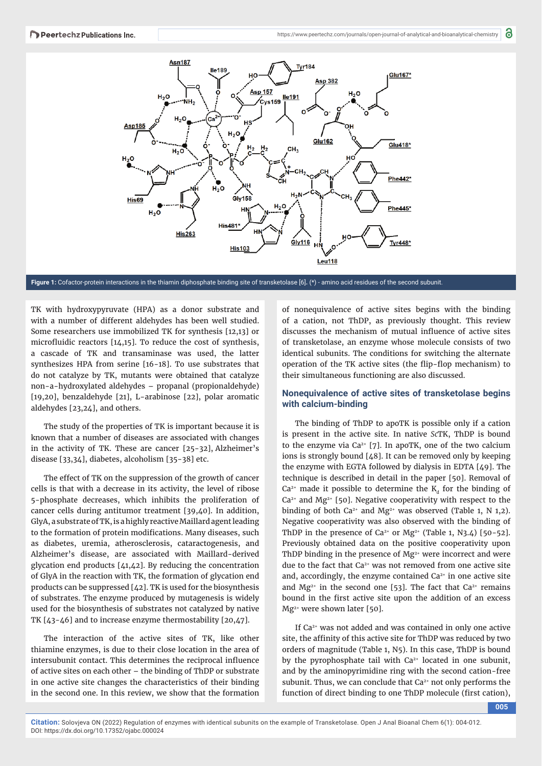

**Figure 1:** Cofactor-protein interactions in the thiamin diphosphate binding site of transketolase [6]**.** (\*) - amino acid residues of the second subunit.

TK with hydroxypyruvate (HPA) as a donor substrate and with a number of different aldehydes has been well studied. Some researchers use immobilized TK for synthesis [12,13] or microfluidic reactors  $[14,15]$ . To reduce the cost of synthesis, a cascade of TK and transaminase was used, the latter synthesizes HPA from serine [16-18]. To use substrates that do not catalyze by TK, mutants were obtained that catalyze non-a-hydroxylated aldehydes – propanal (propionaldehyde) [19,20], benzaldehyde [21], L-arabinose [22], polar aromatic aldehydes [23,24], and others.

The study of the properties of TK is important because it is known that a number of diseases are associated with changes in the activity of TK. These are cancer [25-32], Alzheimer's disease [33,34], diabetes, alcoholism [35-38] etc.

The effect of TK on the suppression of the growth of cancer cells is that with a decrease in its activity, the level of ribose 5-phosphate decreases, which inhibits the proliferation of cancer cells during antitumor treatment [39,40]. In addition, GlyA, a substrate of TK, is a highly reactive Maillard agent leading to the formation of protein modifications. Many diseases, such as diabetes, uremia, atherosclerosis, cataractogenesis, and Alzheimer's disease, are associated with Maillard-derived glycation end products [41,42]. By reducing the concentration of GlyA in the reaction with TK, the formation of glycation end products can be suppressed [42]. TK is used for the biosynthesis of substrates. The enzyme produced by mutagenesis is widely used for the biosynthesis of substrates not catalyzed by native TK [43-46] and to increase enzyme thermostability [20,47].

The interaction of the active sites of TK, like other thiamine enzymes, is due to their close location in the area of intersubunit contact. This determines the reciprocal influence of active sites on each other – the binding of ThDP or substrate in one active site changes the characteristics of their binding in the second one. In this review, we show that the formation

DOI: https://dx.doi.org/10.17352/ojabc.000024

of nonequivalence of active sites begins with the binding of a cation, not ThDP, as previously thought. This review discusses the mechanism of mutual influence of active sites of transketolase, an enzyme whose molecule consists of two identical subunits. The conditions for switching the alternate operation of the TK active sites (the flip-flop mechanism) to their simultaneous functioning are also discussed.

#### **Nonequivalence of active sites of transketolase begins with calcium-binding**

The binding of ThDP to apoTK is possible only if a cation is present in the active site. In native *Sc*TK, ThDP is bound to the enzyme via  $Ca^{2+}$  [7]. In apoTK, one of the two calcium ions is strongly bound [48]. It can be removed only by keeping the enzyme with EGTA followed by dialysis in EDTA [49]. The technique is described in detail in the paper [50]. Removal of  $Ca<sup>2+</sup>$  made it possible to determine the K<sub>d</sub> for the binding of  $Ca<sup>2+</sup>$  and Mg<sup>2+</sup> [50]. Negative cooperativity with respect to the binding of both  $Ca^{2+}$  and Mg<sup>2+</sup> was observed (Table 1, N 1,2). Negative cooperativity was also observed with the binding of ThDP in the presence of  $Ca^{2+}$  or Mg<sup>2+</sup> (Table 1, N3.4) [50-52]. Previously obtained data on the positive cooperativity upon ThDP binding in the presence of  $Mg^{2+}$  were incorrect and were due to the fact that Ca<sup>2+</sup> was not removed from one active site and, accordingly, the enzyme contained  $Ca<sup>2+</sup>$  in one active site and  $Mg^{2+}$  in the second one [53]. The fact that  $Ca^{2+}$  remains bound in the first active site upon the addition of an excess Mg2+ were shown later [50].

If Ca2+ was not added and was contained in only one active site, the affinity of this active site for ThDP was reduced by two orders of magnitude (Table 1, N5). In this case, ThDP is bound by the pyrophosphate tail with  $Ca<sup>2+</sup>$  located in one subunit, and by the aminopyrimidine ring with the second cation-free subunit. Thus, we can conclude that Ca<sup>2+</sup> not only performs the function of direct binding to one ThDP molecule (first cation),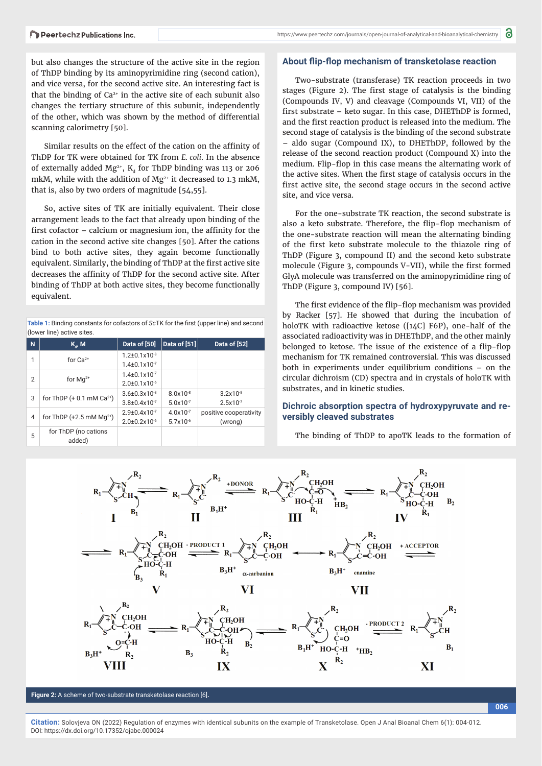but also changes the structure of the active site in the region of ThDP binding by its aminopyrimidine ring (second cation), and vice versa, for the second active site. An interesting fact is that the binding of  $Ca<sup>2+</sup>$  in the active site of each subunit also changes the tertiary structure of this subunit, independently of the other, which was shown by the method of differential scanning calorimetry [50].

Similar results on the effect of the cation on the affinity of ThDP for TK were obtained for TK from *E. coli*. In the absence of externally added  $Mg^{2+}$ ,  $K_d$  for ThDP binding was 113 or 206 mkM, while with the addition of Mg<sup>2+</sup> it decreased to 1.3 mkM, that is, also by two orders of magnitude [54,55].

So, active sites of TK are initially equivalent. Their close arrangement leads to the fact that already upon binding of the first cofactor  $-$  calcium or magnesium ion, the affinity for the cation in the second active site changes [50]. After the cations bind to both active sites, they again become functionally equivalent. Similarly, the binding of ThDP at the first active site decreases the affinity of ThDP for the second active site. After binding of ThDP at both active sites, they become functionally equivalent.

| Table 1: Binding constants for cofactors of ScTK for the first (upper line) and second |  |
|----------------------------------------------------------------------------------------|--|
| (lower line) active sites.                                                             |  |

| N | $K_{a}$ , M                             | Data of [50]                 | Data of [51]  | Data of [52]           |
|---|-----------------------------------------|------------------------------|---------------|------------------------|
| 1 | for $Ca^{2+}$                           | $1.2 \pm 0.1 \times 10^{-8}$ |               |                        |
|   |                                         | $1.4\pm0.1x10^{3}$           |               |                        |
| 2 | for $Ma^{2+}$                           | $1.4\pm0.1x10^{3}$           |               |                        |
|   |                                         | $2.0\pm0.1x10^{-6}$          |               |                        |
| 3 | for ThDP $(+ 0.1$ mM Ca <sup>2+</sup> ) | $3.6 \pm 0.3 \times 10^{-8}$ | $8.0x10^{-8}$ | $3.2x10^{-8}$          |
|   |                                         | $3.8 + 0.4 \times 10^{-7}$   | $5.0x10^{-7}$ | $2.5x10^{-7}$          |
| 4 | for ThDP $(+2.5 \text{ mM } Mg^{2+})$   | $2.9 + 0.4 \times 10^{-7}$   | $4.0x10^{-7}$ | positive cooperativity |
|   |                                         | $2.0\pm0.2x10^{-6}$          | $5.7x10^{-6}$ | (wrong)                |
| 5 | for ThDP (no cations<br>added)          |                              |               |                        |

#### About flip-flop mechanism of transketolase reaction

Two-substrate (transferase) TK reaction proceeds in two stages (Figure 2). The first stage of catalysis is the binding (Compounds IV, V) and cleavage (Compounds VI, VII) of the first substrate  $-$  keto sugar. In this case, DHEThDP is formed, and the first reaction product is released into the medium. The second stage of catalysis is the binding of the second substrate – aldo sugar (Compound IX), to DHEThDP, followed by the release of the second reaction product (Compound X) into the medium. Flip-flop in this case means the alternating work of the active sites. When the first stage of catalysis occurs in the first active site, the second stage occurs in the second active site, and vice versa.

For the one-substrate TK reaction, the second substrate is also a keto substrate. Therefore, the flip-flop mechanism of the one-substrate reaction will mean the alternating binding of the first keto substrate molecule to the thiazole ring of ThDP (Figure 3, compound II) and the second keto substrate molecule (Figure 3, compounds V-VII), while the first formed GlyA molecule was transferred on the aminopyrimidine ring of ThDP (Figure 3, compound IV) [56].

The first evidence of the flip-flop mechanism was provided by Racker [57]. He showed that during the incubation of holoTK with radioactive ketose ([14C] F6P), one-half of the associated radioactivity was in DHEThDP, and the other mainly belonged to ketose. The issue of the existence of a flip-flop mechanism for TK remained controversial. This was discussed both in experiments under equilibrium conditions – on the circular dichroism (CD) spectra and in crystals of holoTK with substrates, and in kinetic studies.

#### **Dichroic absorption spectra of hydroxypyruvate and reversibly cleaved substrates**

The binding of ThDP to apoTK leads to the formation of



**Figure 2:** A scheme of two-substrate transketolase reaction [6]**.**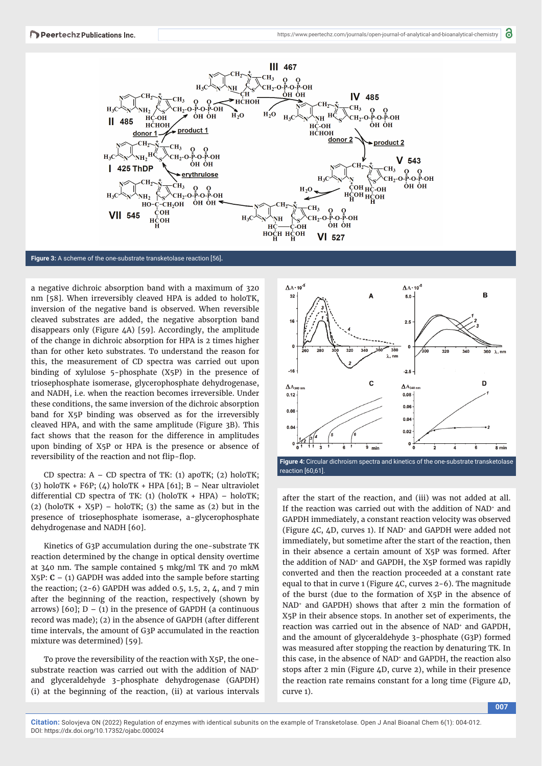

**Figure 3:** A scheme of the one-substrate transketolase reaction [56]**.**

a negative dichroic absorption band with a maximum of 320 nm [58]. When irreversibly cleaved HPA is added to holoTK, inversion of the negative band is observed. When reversible cleaved substrates are added, the negative absorption band disappears only (Figure 4A) [59]. Accordingly, the amplitude of the change in dichroic absorption for HPA is 2 times higher than for other keto substrates. To understand the reason for this, the measurement of CD spectra was carried out upon binding of xylulose 5-phosphate (X5P) in the presence of triosephosphate isomerase, glycerophosphate dehydrogenase, and NADH, i.e. when the reaction becomes irreversible. Under these conditions, the same inversion of the dichroic absorption band for X5P binding was observed as for the irreversibly cleaved HPA, and with the same amplitude (Figure 3B). This fact shows that the reason for the difference in amplitudes upon binding of X5P or HPA is the presence or absence of reversibility of the reaction and not flip-flop.

CD spectra:  $A - CD$  spectra of TK: (1) apoTK; (2) holoTK; (3) holoTK + F6P;  $(4)$  holoTK + HPA [61]; B – Near ultraviolet differential CD spectra of TK: (1) (holoTK + HPA) - holoTK; (2) (holoTK +  $X5P$ ) – holoTK; (3) the same as (2) but in the presence of triosephosphate isomerase, a-glycerophosphate dehydrogenase and NADH [60].

Kinetics of G3P accumulation during the one-substrate TK reaction determined by the change in optical density overtime at 340 nm. The sample contained 5 mkg/ml TK and 70 mkM X5P: **C** – (1) GAPDH was added into the sample before starting the reaction;  $(2-6)$  GAPDH was added 0.5, 1.5, 2, 4, and 7 min after the beginning of the reaction, respectively (shown by arrows)  $[60]$ ;  $D - (1)$  in the presence of GAPDH (a continuous record was made); (2) in the absence of GAPDH (after different time intervals, the amount of G3P accumulated in the reaction mixture was determined) [59].

To prove the reversibility of the reaction with X5P, the onesubstrate reaction was carried out with the addition of NAD<sup>+</sup> and glyceraldehyde 3-phosphate dehydrogenase (GAPDH) (i) at the beginning of the reaction, (ii) at various intervals



after the start of the reaction, and (iii) was not added at all. If the reaction was carried out with the addition of NAD+ and GAPDH immediately, a constant reaction velocity was observed (Figure 4C, 4D, curves 1). If NAD+ and GAPDH were added not immediately, but sometime after the start of the reaction, then in their absence a certain amount of X5P was formed. After the addition of NAD<sup>+</sup> and GAPDH, the X5P formed was rapidly converted and then the reaction proceeded at a constant rate equal to that in curve 1 (Figure  $\angle$ C, curves 2-6). The magnitude of the burst (due to the formation of X5P in the absence of NAD+ and GAPDH) shows that after 2 min the formation of X5P in their absence stops. In another set of experiments, the reaction was carried out in the absence of NAD<sup>+</sup> and GAPDH, and the amount of glyceraldehyde 3-phosphate (G3P) formed was measured after stopping the reaction by denaturing TK. In this case, in the absence of NAD+ and GAPDH, the reaction also stops after 2 min (Figure 4D, curve 2), while in their presence the reaction rate remains constant for a long time (Figure 4D, curve 1).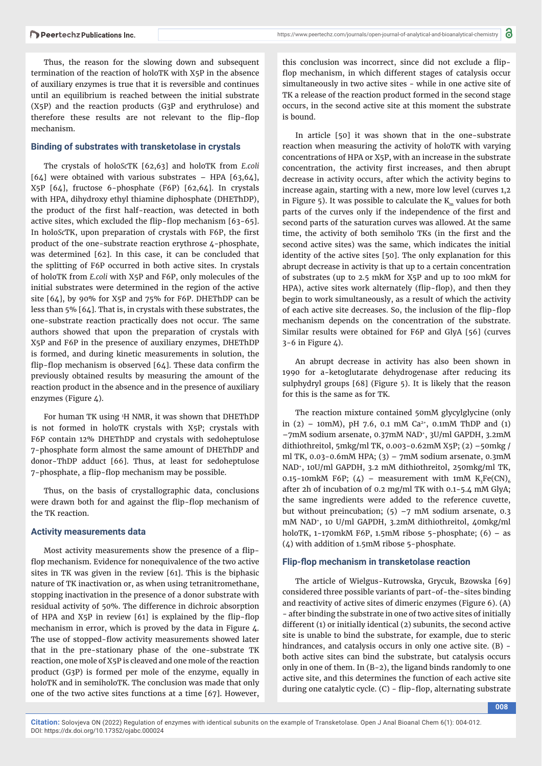Thus, the reason for the slowing down and subsequent termination of the reaction of holoTK with X5P in the absence of auxiliary enzymes is true that it is reversible and continues until an equilibrium is reached between the initial substrate (X5P) and the reaction products (G3P and erythrulose) and therefore these results are not relevant to the flip-flop mechanism.

#### **Binding of substrates with transketolase in crystals**

The crystals of holo*Sc*TK [62,63] and holoTK from *E.coli*  [64] were obtained with various substrates – HPA [63,64], X5P [64], fructose 6-phosphate (F6P) [62,64]. In crystals with HPA, dihydroxy ethyl thiamine diphosphate (DHEThDP), the product of the first half-reaction, was detected in both active sites, which excluded the flip-flop mechanism [63-65]. In holoScTK, upon preparation of crystals with F6P, the first product of the one-substrate reaction erythrose 4-phosphate, was determined [62]. In this case, it can be concluded that the splitting of F6P occurred in both active sites. In crystals of holoTK from *E.coli* with X5P and F6P, only molecules of the initial substrates were determined in the region of the active site [64], by 90% for X5P and 75% for F6P. DHEThDP can be less than 5% [64]. That is, in crystals with these substrates, the one-substrate reaction practically does not occur. The same authors showed that upon the preparation of crystals with X5P and F6P in the presence of auxiliary enzymes, DHEThDP is formed, and during kinetic measurements in solution, the flip-flop mechanism is observed  $[64]$ . These data confirm the previously obtained results by measuring the amount of the reaction product in the absence and in the presence of auxiliary enzymes (Figure 4).

For human TK using 1 H NMR, it was shown that DHEThDP is not formed in holoTK crystals with X5P; crystals with F6P contain 12% DHEThDP and crystals with sedoheptulose 7-phosphate form almost the same amount of DHEThDP and donor-ThDP adduct [66]. Thus, at least for sedoheptulose 7-phosphate, a flip-flop mechanism may be possible.

Thus, on the basis of crystallographic data, conclusions were drawn both for and against the flip-flop mechanism of the TK reaction.

#### **Activity measurements data**

Most activity measurements show the presence of a flipflop mechanism. Evidence for nonequivalence of the two active sites in TK was given in the review [61]. This is the biphasic nature of TK inactivation or, as when using tetranitromethane, stopping inactivation in the presence of a donor substrate with residual activity of 50%. The difference in dichroic absorption of HPA and  $X5P$  in review  $[61]$  is explained by the flip-flop mechanism in error, which is proved by the data in Figure 4. The use of stopped-flow activity measurements showed later that in the pre-stationary phase of the one-substrate TK reaction, one mole of X5P is cleaved and one mole of the reaction product (G3P) is formed per mole of the enzyme, equally in holoTK and in semiholoTK. The conclusion was made that only one of the two active sites functions at a time [67]. However,

this conclusion was incorrect, since did not exclude a flipflop mechanism, in which different stages of catalysis occur simultaneously in two active sites - while in one active site of TK a release of the reaction product formed in the second stage occurs, in the second active site at this moment the substrate is bound.

In article [50] it was shown that in the one-substrate reaction when measuring the activity of holoTK with varying concentrations of HPA or X5P, with an increase in the substrate concentration, the activity first increases, and then abrupt decrease in activity occurs, after which the activity begins to increase again, starting with a new, more low level (curves 1,2 in Figure 5). It was possible to calculate the  $K<sub>m</sub>$  values for both parts of the curves only if the independence of the first and second parts of the saturation curves was allowed. At the same time, the activity of both semiholo TKs (in the first and the second active sites) was the same, which indicates the initial identity of the active sites [50]. The only explanation for this abrupt decrease in activity is that up to a certain concentration of substrates (up to 2.5 mkM for X5P and up to 100 mkM for HPA), active sites work alternately (flip-flop), and then they begin to work simultaneously, as a result of which the activity of each active site decreases. So, the inclusion of the flip-flop mechanism depends on the concentration of the substrate. Similar results were obtained for F6P and GlyA [56] (curves 3-6 in Figure 4).

An abrupt decrease in activity has also been shown in 1990 for a-ketoglutarate dehydrogenase after reducing its sulphydryl groups [68] (Figure 5). It is likely that the reason for this is the same as for TK.

The reaction mixture contained 50mM glycylglycine (only in (2) – 10mM), pH 7.6, 0.1 mM Ca<sup>2+</sup>, 0.1mM ThDP and (1) –7mM sodium arsenate, 0.37mM NAD+, 3U/ml GAPDH, 3.2mM dithiothreitol, 5mkg/ml TK, 0.003-0.62mM X5P; (2) –50mkg / ml TK, 0.03-0.6mM HPA; (3) – 7mM sodium arsenate, 0.3mM NAD+, 10U/ml GAPDH, 3.2 mM dithiothreitol, 250mkg/ml TK, 0.15-10mkM F6P; (4) – measurement with 1mM  $K_3Fe(CN)_{\epsilon}$ after 2h of incubation of 0.2 mg/ml TK with 0.1-5.4 mM GlyA; the same ingredients were added to the reference cuvette, but without preincubation;  $(5)$  –7 mM sodium arsenate, 0.3 mM NAD+, 10 U/ml GAPDH, 3.2mM dithiothreitol, 40mkg/ml holoTK, 1-170mkM F6P, 1.5mM ribose 5-phosphate;  $(6)$  – as  $(\Delta)$  with addition of 1.5mM ribose 5-phosphate.

#### **Flip-fl op mechanism in transketolase reaction**

The article of Wielgus-Kutrowska, Grycuk, Bzowska [69] considered three possible variants of part-of-the-sites binding and reactivity of active sites of dimeric enzymes (Figure 6). (A) - after binding the substrate in one of two active sites of initially different (1) or initially identical (2) subunits, the second active site is unable to bind the substrate, for example, due to steric hindrances, and catalysis occurs in only one active site. (B) both active sites can bind the substrate, but catalysis occurs only in one of them. In (B-2), the ligand binds randomly to one active site, and this determines the function of each active site during one catalytic cycle.  $(C)$  - flip-flop, alternating substrate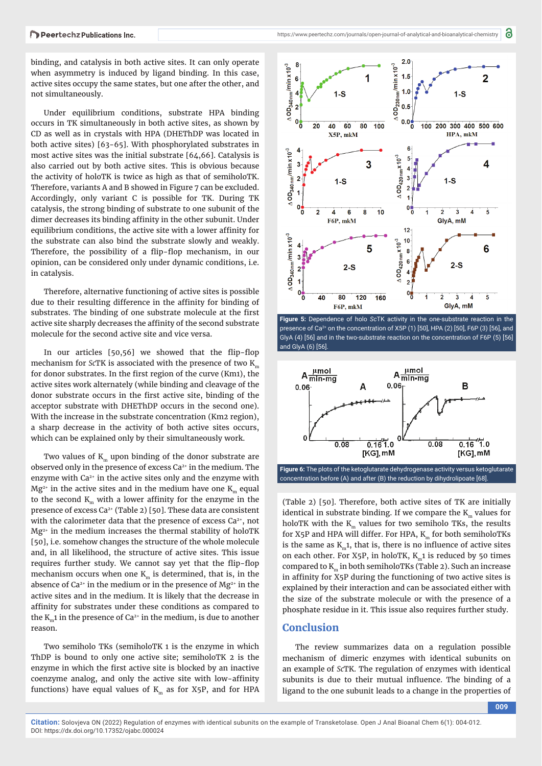binding, and catalysis in both active sites. It can only operate when asymmetry is induced by ligand binding. In this case, active sites occupy the same states, but one after the other, and not simultaneously.

Under equilibrium conditions, substrate HPA binding occurs in TK simultaneously in both active sites, as shown by CD as well as in crystals with HPA (DHEThDP was located in both active sites) [63-65]. With phosphorylated substrates in most active sites was the initial substrate [64,66]. Catalysis is also carried out by both active sites. This is obvious because the activity of holoTK is twice as high as that of semiholoTK. Therefore, variants A and B showed in Figure 7 can be excluded. Accordingly, only variant C is possible for TK. During TK catalysis, the strong binding of substrate to one subunit of the dimer decreases its binding affinity in the other subunit. Under equilibrium conditions, the active site with a lower affinity for the substrate can also bind the substrate slowly and weakly. Therefore, the possibility of a flip-flop mechanism, in our opinion, can be considered only under dynamic conditions, i.e. in catalysis.

Therefore, alternative functioning of active sites is possible due to their resulting difference in the affinity for binding of substrates. The binding of one substrate molecule at the first active site sharply decreases the affinity of the second substrate molecule for the second active site and vice versa.

In our articles  $[50,56]$  we showed that the flip-flop mechanism for *Sc*TK is associated with the presence of two K<sub>m</sub> for donor substrates. In the first region of the curve  $(Km1)$ , the active sites work alternately (while binding and cleavage of the donor substrate occurs in the first active site, binding of the acceptor substrate with DHEThDP occurs in the second one). With the increase in the substrate concentration (Km2 region), a sharp decrease in the activity of both active sites occurs, which can be explained only by their simultaneously work.

Two values of  $K<sub>m</sub>$  upon binding of the donor substrate are observed only in the presence of excess Ca2+ in the medium. The enzyme with  $Ca<sup>2+</sup>$  in the active sites only and the enzyme with  $Mg^{2+}$  in the active sites and in the medium have one  $K_m$  equal to the second  $K_m$  with a lower affinity for the enzyme in the presence of excess  $Ca^{2+}$  (Table 2) [50]. These data are consistent with the calorimeter data that the presence of excess Ca<sup>2+</sup>, not Mg2+ in the medium increases the thermal stability of holoTK [50], i.e. somehow changes the structure of the whole molecule and, in all likelihood, the structure of active sites. This issue requires further study. We cannot say yet that the flip-flop mechanism occurs when one  $K<sub>m</sub>$  is determined, that is, in the absence of Ca<sup>2+</sup> in the medium or in the presence of  $Mg^{2+}$  in the active sites and in the medium. It is likely that the decrease in affinity for substrates under these conditions as compared to the  $K_m$ 1 in the presence of Ca<sup>2+</sup> in the medium, is due to another reason.

Two semiholo TKs (semiholoTK 1 is the enzyme in which ThDP is bound to only one active site; semiholoTK 2 is the enzyme in which the first active site is blocked by an inactive coenzyme analog, and only the active site with low-affinity functions) have equal values of  $K<sub>m</sub>$  as for X5P, and for HPA



**Figure 5:** Dependence of holo *Sc*TK activity in the one-substrate reaction in the presence of Ca<sup>2+</sup> on the concentration of X5P (1) [50], HPA (2) [50], F6P (3) [56], and GlyA (4) [56] and in the two-substrate reaction on the concentration of F6P (5) [56] and GlyA (6) [56].



(Table 2) [50]. Therefore, both active sites of TK are initially identical in substrate binding. If we compare the  $K<sub>m</sub>$  values for holoTK with the  $K<sub>m</sub>$  values for two semiholo TKs, the results for X5P and HPA will differ. For HPA,  $K_m$  for both semiholoTKs is the same as  $K<sub>m</sub>1$ , that is, there is no influence of active sites on each other. For  $X5P$ , in holoTK,  $K_n1$  is reduced by 50 times compared to  $K_m$  in both semiholoTKs (Table 2). Such an increase in affinity for X5P during the functioning of two active sites is explained by their interaction and can be associated either with the size of the substrate molecule or with the presence of a

### **Conclusion**

The review summarizes data on a regulation possible mechanism of dimeric enzymes with identical subunits on an example of *Sc*TK. The regulation of enzymes with identical subunits is due to their mutual influence. The binding of a ligand to the one subunit leads to a change in the properties of

phosphate residue in it. This issue also requires further study.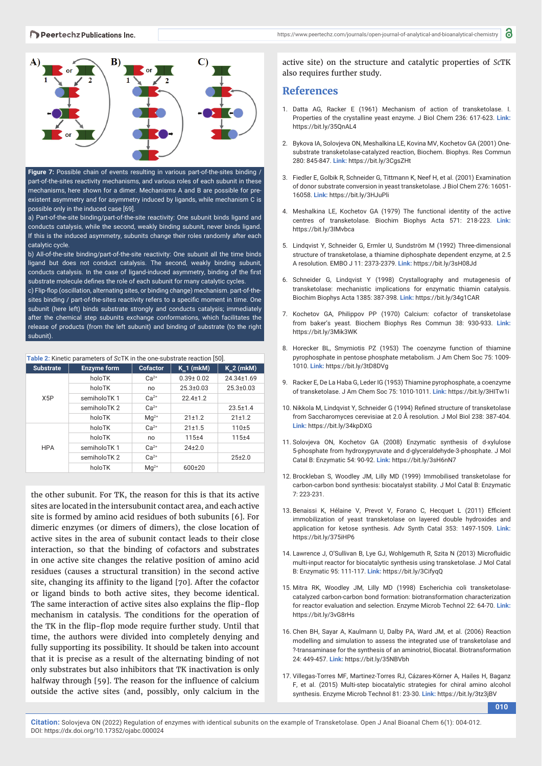



**Figure 7:** Possible chain of events resulting in various part-of-the-sites binding / part-of-the-sites reactivity mechanisms, and various roles of each subunit in these mechanisms, here shown for a dimer. Mechanisms A and B are possible for preexistent asymmetry and for asymmetry induced by ligands, while mechanism C is possible only in the induced case [69].

a) Part-of-the-site binding/part-of-the-site reactivity: One subunit binds ligand and conducts catalysis, while the second, weakly binding subunit, never binds ligand. If this is the induced asymmetry, subunits change their roles randomly after each catalytic cycle.

b) All-of-the-site binding/part-of-the-site reactivity: One subunit all the time binds ligand but does not conduct catalysis. The second, weakly binding subunit, conducts catalysis. In the case of ligand-induced asymmetry, binding of the first substrate molecule defines the role of each subunit for many catalytic cycles. c) Flip-flop (oscillation, alternating sites, or binding change) mechanism. part-of-thesites binding / part-of-the-sites reactivity refers to a specific moment in time. One subunit (here left) binds substrate strongly and conducts catalysis; immediately

after the chemical step subunits exchange conformations, which facilitates the release of products (from the left subunit) and binding of substrate (to the right subunit).

| Table 2: Kinetic parameters of ScTK in the one-substrate reaction [50]. |                    |                 |                 |                  |  |  |  |  |
|-------------------------------------------------------------------------|--------------------|-----------------|-----------------|------------------|--|--|--|--|
| <b>Substrate</b>                                                        | <b>Enzyme form</b> | <b>Cofactor</b> | $K_n 1$ (mkM)   | $K_2$ (mkM)      |  |  |  |  |
|                                                                         | holoTK             | $Ca2+$          | $0.39 \pm 0.02$ | $24.34 \pm 1.69$ |  |  |  |  |
| X5P                                                                     | holoTK             | no              | $25.3 \pm 0.03$ | $25.3 \pm 0.03$  |  |  |  |  |
|                                                                         | semiholoTK 1       | $Ca2+$          | $22.4 + 1.2$    |                  |  |  |  |  |
|                                                                         | semiholoTK 2       | $Ca2+$          |                 | $23.5 \pm 1.4$   |  |  |  |  |
|                                                                         | holoTK             | $Mq^{2+}$       | 21±1.2          | 21±1.2           |  |  |  |  |
| <b>HPA</b>                                                              | holoTK             | $Ca2+$          | 21±1.5          | $110+5$          |  |  |  |  |
|                                                                         | holoTK             | no              | $115 + 4$       | $115 + 4$        |  |  |  |  |
|                                                                         | semiholoTK 1       | $Ca2+$          | $24+2.0$        |                  |  |  |  |  |
|                                                                         | semiholoTK 2       | $Ca2+$          |                 | $25+2.0$         |  |  |  |  |
|                                                                         | holoTK             | $Ma^{2+}$       | $600+20$        |                  |  |  |  |  |

the other subunit. For TK, the reason for this is that its active sites are located in the intersubunit contact area, and each active site is formed by amino acid residues of both subunits [6]. For dimeric enzymes (or dimers of dimers), the close location of active sites in the area of subunit contact leads to their close interaction, so that the binding of cofactors and substrates in one active site changes the relative position of amino acid residues (causes a structural transition) in the second active site, changing its affinity to the ligand [70]. After the cofactor or ligand binds to both active sites, they become identical. The same interaction of active sites also explains the flip-flop mechanism in catalysis. The conditions for the operation of the TK in the flip-flop mode require further study. Until that time, the authors were divided into completely denying and fully supporting its possibility. It should be taken into account that it is precise as a result of the alternating binding of not only substrates but also inhibitors that TK inactivation is only halfway through [59]. The reason for the influence of calcium outside the active sites (and, possibly, only calcium in the

active site) on the structure and catalytic properties of *Sc*TK also requires further study.

### **References**

- 1. Datta AG, Racker E (1961) Mechanism of action of transketolase. I. Properties of the crystalline yeast enzyme. J Biol Chem 236: 617-623. **Link:** https://bit.ly/35QnAL4
- 2. Bykova IA, Solovjeva ON, Meshalkina LE, Kovina MV, Kochetov GA (2001) Onesubstrate transketolase-catalyzed reaction, Biochem. Biophys. Res Commun 280: 845-847. **Link:** https://bit.ly/3CgsZHt
- 3. Fiedler E, Golbik R, Schneider G, Tittmann K, Neef H, et al. (2001) Examination of donor substrate conversion in yeast transketolase. J Biol Chem 276: 16051- 16058. **Link:** https://bit.ly/3HJuPli
- 4. Meshalkina LE, Kochetov GA (1979) The functional identity of the active centres of transketolase. Biochim Biophys Acta 571: 218-223. **Link:** https://bit.ly/3IMvbca
- 5. Lindqvist Y, Schneider G, Ermler U, Sundström M (1992) Three-dimensional structure of transketolase, a thiamine diphosphate dependent enzyme, at 2.5 A resolution. EMBO J 11: 2373-2379. **Link:** https://bit.ly/3sH08Jd
- 6. Schneider G, Lindqvist Y (1998) Crystallography and mutagenesis of transketolase: mechanistic implications for enzymatic thiamin catalysis. Biochim Biophys Acta 1385: 387-398. **Link:** https://bit.ly/34g1CAR
- 7. Kochetov GA, Philippov PP (1970) Calcium: cofactor of transketolase from baker's yeast. Biochem Biophys Res Commun 38: 930-933. **Link:** https://bit.ly/3Mik3WK
- 8. Horecker BL, Smyrniotis PZ (1953) The coenzyme function of thiamine pyrophosphate in pentose phosphate metabolism. J Am Chem Soc 75: 1009- 1010. **Link:** https://bit.ly/3tD8DVg
- 9. Racker E, De La Haba G, Leder IG (1953) Thiamine pyrophosphate, a coenzyme of transketolase. J Am Chem Soc 75: 1010-1011. **Link:** https://bit.ly/3HITw1i
- 10. Nikkola M, Lindqvist Y, Schneider G (1994) Refined structure of transketolase from Saccharomyces cerevisiae at 2.0 Å resolution. J Mol Biol 238: 387-404. **Link:** https://bit.ly/34kpDXG
- 11. Solovjeva ON, Kochetov GA (2008) Enzymatic synthesis of d-xylulose 5-phosphate from hydroxypyruvate and d-glyceraldehyde-3-phosphate. J Mol Catal B: Enzymatic 54: 90-92. **Link:** https://bit.ly/3sH6nN7
- 12. Brockleban S, Woodley JM, Lilly MD (1999) Immobilised transketolase for carbon-carbon bond synthesis: biocatalyst stability. J Mol Catal B: Enzymatic 7: 223-231.
- 13. Benaissi K, Hélaine V, Prevot V, Forano C, Hecquet L (2011) Efficient immobilization of yeast transketolase on layered double hydroxides and application for ketose synthesis. Adv Synth Catal 353: 1497-1509. **Link:** https://bit.ly/375iHP6
- 14. Lawrence J, O'Sullivan B, Lye GJ, Wohlgemuth R, Szita N (2013) Microfluidic multi-input reactor for biocatalytic synthesis using transketolase. J Mol Catal B: Enzymatic 95: 111-117. **Link:** https://bit.ly/3CifyqQ
- 15. Mitra RK, Woodley JM, Lilly MD (1998) Escherichia coli transketolasecatalyzed carbon-carbon bond formation: biotransformation characterization for reactor evaluation and selection. Enzyme Microb Technol 22: 64-70. **Link:** https://bit.ly/3vG8rHs
- 16. Chen BH, Sayar A, Kaulmann U, Dalby PA, Ward JM, et al. (2006) Reaction modelling and simulation to assess the integrated use of transketolase and ?-transaminase for the synthesis of an aminotriol, Biocatal. Biotransformation 24: 449-457. **Link:** https://bit.ly/35NBVbh
- 17. Villegas-Torres MF, Martinez-Torres RJ, Cázares-Körner A, Hailes H, Baganz F, et al. (2015) Multi-step biocatalytic strategies for chiral amino alcohol synthesis. Enzyme Microb Technol 81: 23-30. **Link:** https://bit.ly/3tz3jBV

**010**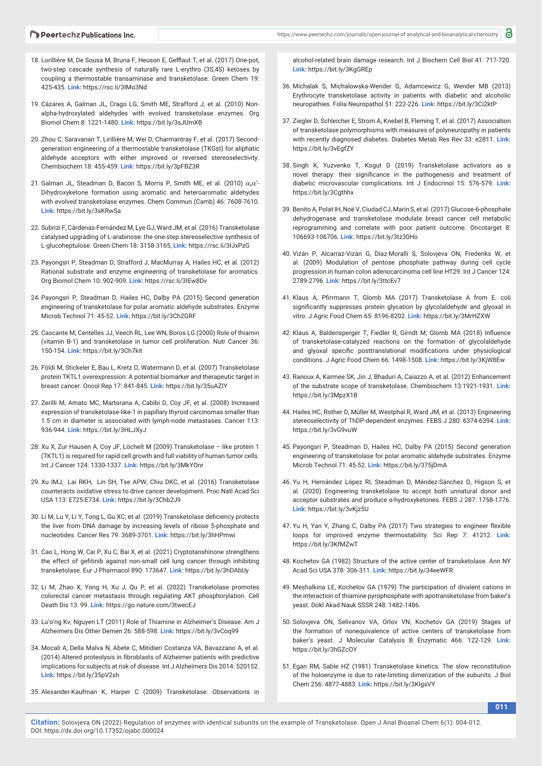- 18. Lorillière M, De Sousa M, Bruna F, Heuson E, Gefflaut T, et al. (2017) One-pot, two-step cascade synthesis of naturally rare L-erythro (3S,4S) ketoses by coupling a thermostable transaminase and transketolase. Green Chem 19: 425-435. **Link:** https://rsc.li/3IMo3Nd
- 19. Cázares A, Galman JL, Crago LG, Smith ME, Strafford J, et al. (2010) Nonalpha-hydroxylated aldehydes with evolved transketolase enzymes. Org Biomol Chem 8: 1221-1480. **Link:** https://bit.ly/3sJUmXB
- 20. Zhou C, Saravanan T, Lirillière M, Wei D, Charmantray F, et al. (2017) Secondgeneration engineering of a thermostable transketolase (TKGst) for aliphatic aldehyde acceptors with either improved or reversed stereoselectivity. Chembiochem 18: 455-459. **Link:** https://bit.ly/3pFBZ3R
- 21. Galman JL, Steadman D, Bacon S, Morris P, Smith ME, et al. (2010)  $\alpha,\alpha'$ -Dihydroxyketone formation using aromatic and heteroaromatic aldehydes with evolved transketolase enzymes. Chem Commun (Camb) 46: 7608-7610. **Link:** https://bit.ly/3sKRwSa
- 22. Subrizi F, Cárdenas-Fernández M, Lye GJ, Ward JM, et al. (2016) Transketolase catalysed upgrading of L-arabinose: the one-step stereoselective synthesis of L-glucoheptulose. Green Chem 18: 3158-3165, **Link:** https://rsc.li/3IJxPzG
- 23. Payongsri P, Steadman D, Strafford J, MacMurray A, Hailes HC, et al. (2012) Rational substrate and enzyme engineering of transketolase for aromatics. Org Biomol Chem 10: 902-909. **Link:** https://rsc.li/3IEw8Dv
- 24. Payongsri P, Steadman D, Hailes HC, Dalby PA (2015) Second generation engineering of transketolase for polar aromatic aldehyde substrates. Enzyme Microb Technol 71: 45-52. **Link:** https://bit.ly/3Ch2GRF
- 25. Cascante M, Centelles JJ, Veech RL, Lee WN, Boros LG (2000) Role of thiamin (vitamin B-1) and transketolase in tumor cell proliferation. Nutr Cancer 36: 150-154. **Link:** https://bit.ly/3Ch7kit
- 26. Földi M, Stickeler E, Bau L, Kretz O, Watermann D, et al. (2007) Transketolase protein TKTL1 overexpression: A potential biomarker and therapeutic target in breast cancer. Oncol Rep 17: 841-845. **Link:** https://bit.ly/35uAZIY
- 27. Zerilli M, Amato MC, Martorana A, Cabibi D, Coy JF, et al. (2008) Increased expression of transketolase-like-1 in papillary thyroid carcinomas smaller than 1.5 cm in diameter is associated with lymph-node metastases. Cancer 113: 936-944. **Link:** https://bit.ly/3HLJXyJ
- 28. Xu X, Zur Hausen A, Coy JF, Löchelt M (2009) Transketolase like protein 1 (TKTL1) is required for rapid cell growth and full viability of human tumor cells. Int J Cancer 124: 1330-1337. **Link:** https://bit.ly/3MkYOnr
- 29. Xu IMJ, Lai RKH, Lin SH, Tse APW, Chiu DKC, et al. (2016) Transketolase counteracts oxidative stress to drive cancer development. Proc Natl Acad Sci USA 113: E725-E734. **Link:** https://bit.ly/3Chb2J9
- 30. Li M, Lu Y, Li Y, Tong L, Gu XC, et al. (2019) Transketolase deficiency protects the liver from DNA damage by increasing levels of ribose 5-phosphate and nucleotides. Cancer Res 79: 3689-3701. **Link:** https://bit.ly/3hHPmwi
- 31. Cao L, Hong W, Cai P, Xu C, Bai X, et al. (2021) Cryptotanshinone strengthens the effect of gefitinib against non-small cell lung cancer through inhibiting transketolase. Eur J Pharmacol 890: 173647. **Link:** https://bit.ly/3hDAbUy
- 32. Li M, Zhao X, Yong H, Xu J, Qu P, et al. (2022) Transketolase promotes colorectal cancer metastasis through regulating AKT phosphorylation. Cell Death Dis 13: 99. **Link:** https://go.nature.com/3twecEJ
- 33. Lu'o'ng Kv, Nguyen LT (2011) Role of Thiamine in Alzheimer's Disease. Am J Alzheimers Dis Other Demen 26: 588-598. **Link:** https://bit.ly/3vCoq99
- 34. Mocali A, Della Malva N, Abete C, Mitidieri Costanza VA, Bavazzano A, et al. (2014) Altered proteolysis in fibroblasts of Alzheimer patients with predictive implications for subjects at risk of disease. Int J Alzheimers Dis 2014: 520152. **Link:** https://bit.ly/35pV2sh
- 35. Alexander-Kaufman K, Harper C (2009) Transketolase: Observations in

alcohol-related brain damage research. Int J Biochem Cell Biol 41: 717-720. **Link:** https://bit.ly/3KgGREp

- 36. Michalak S, Michalowska-Wender G, Adamcewicz G, Wender MB (2013) Erythrocyte transketolase activity in patients with diabetic and alcoholic neuropathies. Folia Neuropathol 51: 222-226. **Link:** https://bit.ly/3Ci2ktP
- 37. Ziegler D, Schleicher E, Strom A, Knebel B, Fleming T, et al. (2017) Association of transketolase polymorphisms with measures of polyneuropathy in patients with recently diagnosed diabetes. Diabetes Metab Res Rev 33: e2811. **Link:** https://bit.ly/3vEgfZY
- 38. Singh K, Yuzvenko T, Kogut D (2019) Transketolase activators as a novel therapy: their significance in the pathogenesis and treatment of diabetic microvascular complications. Int J Endocrinol 15: 576-579. **Link:** https://bit.ly/3Cgthhx
- 39. Benito A, Polat IH, Noé V, Ciudad CJ, Marin S, et al. (2017) Glucose-6-phosphate dehydrogenase and transketolase modulate breast cancer cell metabolic reprogramming and correlate with poor patient outcome. Oncotarget 8: 106693-106706. **Link:** https://bit.ly/3tz30Ho
- 40. Vizán P, Alcarraz-Vizán G, Díaz-Moralli S, Solovjeva ON, Frederiks W, et al. (2009) Modulation of pentose phosphate pathway during cell cycle progression in human colon adenocarcinoma cell line HT29. Int J Cancer 124: 2789-2796. **Link:** https://bit.ly/3ttcEv7
- 41. Klaus A, Pfirrmann T, Glomb MA (2017) Transketolase A from E. coli significantly suppresses protein glycation by glycolaldehyde and glyoxal in vitro. J Agric Food Chem 65: 8196-8202. **Link:** https://bit.ly/3MrHZXW
- 42. Klaus A, Baldensperger T, Fiedler R, Girndt M, Glomb MA (2018) Influence of transketolase-catalyzed reactions on the formation of glycolaldehyde and glyoxal specific posttranslational modifications under physiological conditions. J Agric Food Chem 66: 1498-1508. **Link:** https://bit.ly/3KjW8Ew
- 43. Ranoux A, Karmee SK, Jin J, Bhaduri A, Caiazzo A, et al. (2012) Enhancement of the substrate scope of transketolase. Chembiochem 13:1921-1931. **Link:** https://bit.ly/3MpzX1B
- 44. Hailes HC, Rother D, Müller M, Westphal R, Ward JM, et al. (2013) Engineering stereoselectivity of ThDP-dependent enzymes. FEBS J 280: 6374-6394. **Link:** https://bit.ly/3vG9vuW
- 45. Payongsri P, Steadman D, Hailes HC, Dalby PA (2015) Second generation engineering of transketolase for polar aromatic aldehyde substrates. Enzyme Microb Technol 71: 45-52. **Link:** https://bit.ly/375jDmA
- 46. Yu H, Hernández López RI, Steadman D, Méndez-Sánchez D, Higson S, et al. (2020) Engineering transketolase to accept both unnatural donor and acceptor substrates and produce α-hydroxyketones. FEBS J 287: 1758-1776. **Link:** https://bit.ly/3vKjz5U
- 47. Yu H, Yan Y, Zhang C, Dalby PA (2017) Two strategies to engineer flexible loops for improved enzyme thermostability. Sci Rep 7: 41212. **Link:** https://bit.ly/3KfMZwT
- 48. Kochetov GA (1982) Structure of the active center of transketolase. Ann NY Acad Sci USA 378: 306-311. **Link:** https://bit.ly/34eeWFR
- 49. Meshalkina LE, Kochetov GA (1979) The participation of divalent cations in the interaction of thiamine pyrophosphate with apotransketolase from baker's yeast. Dokl Akad Nauk SSSR 248: 1482-1486.
- 50. Solovjeva ON, Selivanov VA, Orlov VN, Kochetov GA (2019) Stages of the formation of nonequivalence of active centers of transketolase from baker's yeast. J Molecular Catalysis B Enzymatic 466: 122-129. **Link:** https://bit.ly/3hGZcOY
- 51. Egan RM, Sable HZ (1981) Transketolase kinetics. The slow reconstitution of the holoenzyme is due to rate-limiting dimerization of the subunits. J Biol Chem 256: 4877-4883. **Link:** https://bit.ly/3KlgsVY

**011**